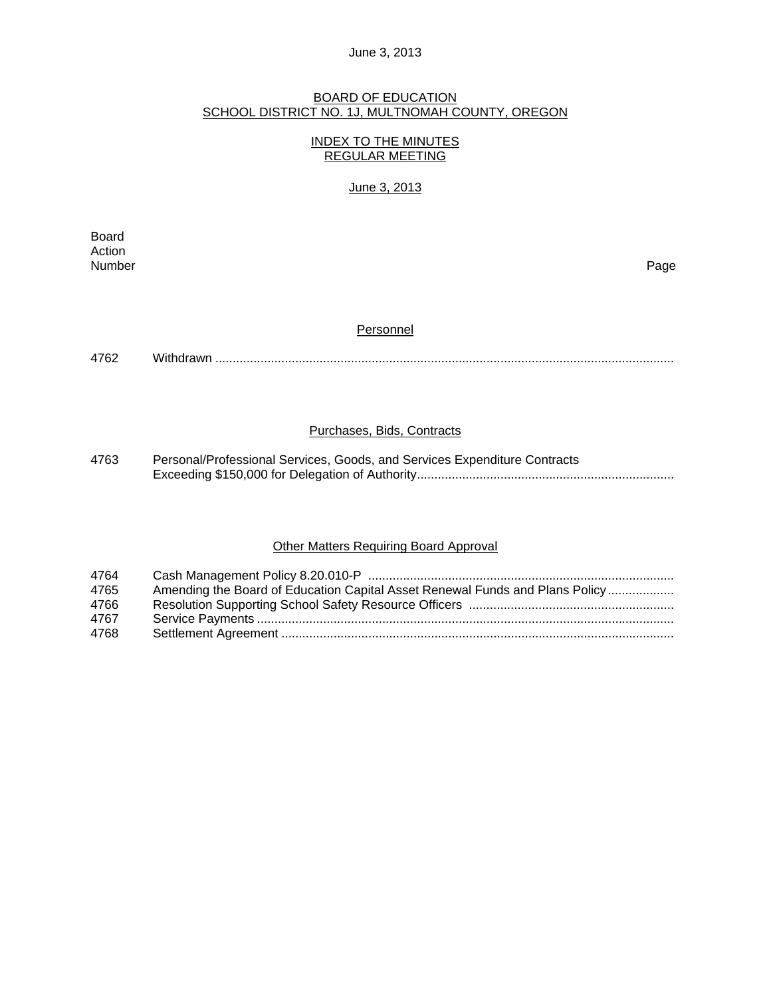#### BOARD OF EDUCATION SCHOOL DISTRICT NO. 1J, MULTNOMAH COUNTY, OREGON

## INDEX TO THE MINUTES REGULAR MEETING

## June 3, 2013

**Board Board** Action<br>Number Number Page

#### **Personnel**

4762 Withdrawn ....................................................................................................................................

## Purchases, Bids, Contracts

4763 Personal/Professional Services, Goods, and Services Expenditure Contracts Exceeding \$150,000 for Delegation of Authority ..........................................................................

## **Other Matters Requiring Board Approval**

| 4764 |                                                                              |
|------|------------------------------------------------------------------------------|
| 4765 | Amending the Board of Education Capital Asset Renewal Funds and Plans Policy |
| 4766 |                                                                              |
| 4767 |                                                                              |
| 4768 |                                                                              |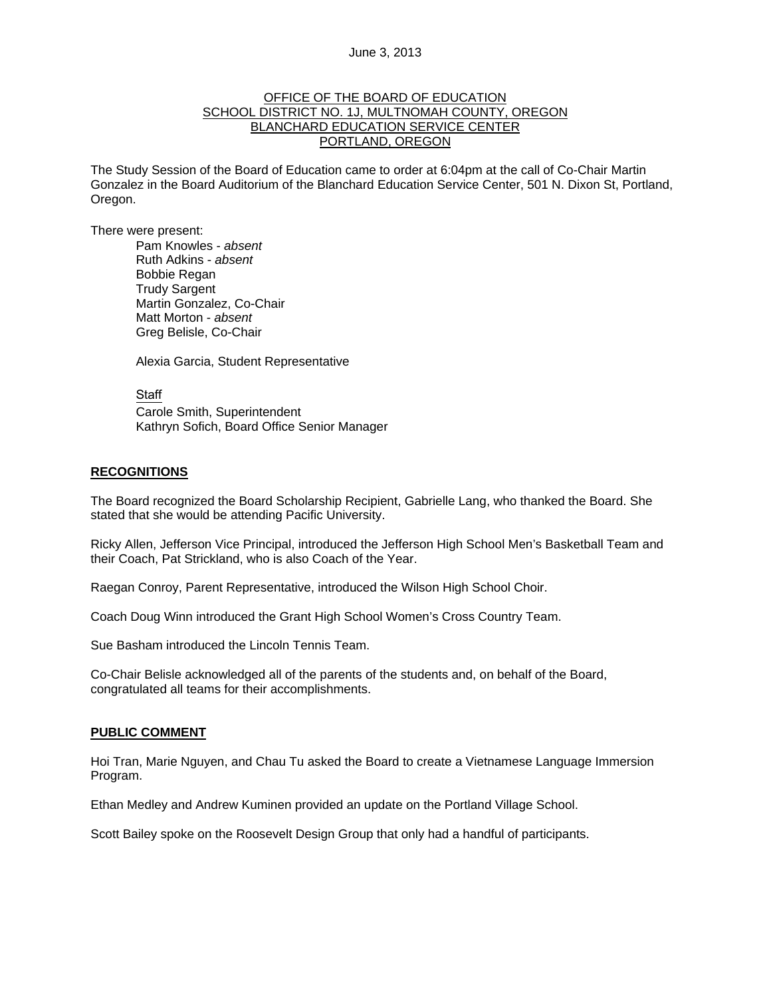## OFFICE OF THE BOARD OF EDUCATION SCHOOL DISTRICT NO. 1J, MULTNOMAH COUNTY, OREGON BLANCHARD EDUCATION SERVICE CENTER PORTLAND, OREGON

The Study Session of the Board of Education came to order at 6:04pm at the call of Co-Chair Martin Gonzalez in the Board Auditorium of the Blanchard Education Service Center, 501 N. Dixon St, Portland, Oregon.

There were present: Pam Knowles - *absent*

Ruth Adkins - *absent* Bobbie Regan Trudy Sargent Martin Gonzalez, Co-Chair Matt Morton - *absent*  Greg Belisle, Co-Chair

Alexia Garcia, Student Representative

Staff

 Carole Smith, Superintendent Kathryn Sofich, Board Office Senior Manager

#### **RECOGNITIONS**

The Board recognized the Board Scholarship Recipient, Gabrielle Lang, who thanked the Board. She stated that she would be attending Pacific University.

Ricky Allen, Jefferson Vice Principal, introduced the Jefferson High School Men's Basketball Team and their Coach, Pat Strickland, who is also Coach of the Year.

Raegan Conroy, Parent Representative, introduced the Wilson High School Choir.

Coach Doug Winn introduced the Grant High School Women's Cross Country Team.

Sue Basham introduced the Lincoln Tennis Team.

Co-Chair Belisle acknowledged all of the parents of the students and, on behalf of the Board, congratulated all teams for their accomplishments.

#### **PUBLIC COMMENT**

Hoi Tran, Marie Nguyen, and Chau Tu asked the Board to create a Vietnamese Language Immersion Program.

Ethan Medley and Andrew Kuminen provided an update on the Portland Village School.

Scott Bailey spoke on the Roosevelt Design Group that only had a handful of participants.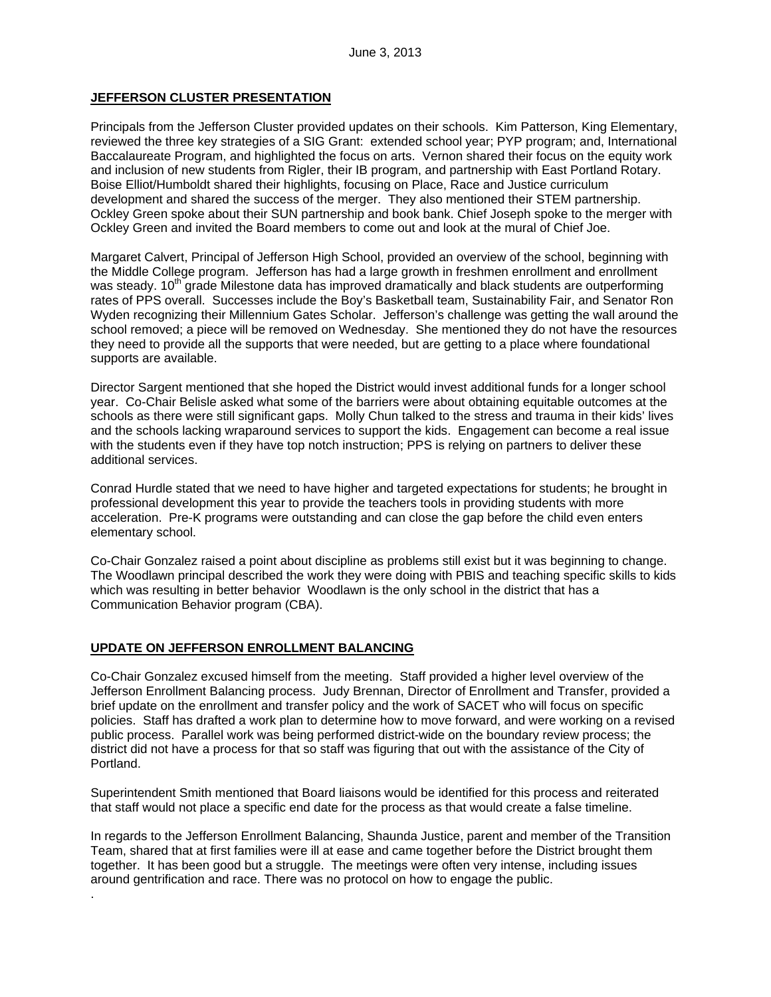## **JEFFERSON CLUSTER PRESENTATION**

Principals from the Jefferson Cluster provided updates on their schools. Kim Patterson, King Elementary, reviewed the three key strategies of a SIG Grant: extended school year; PYP program; and, International Baccalaureate Program, and highlighted the focus on arts. Vernon shared their focus on the equity work and inclusion of new students from Rigler, their IB program, and partnership with East Portland Rotary. Boise Elliot/Humboldt shared their highlights, focusing on Place, Race and Justice curriculum development and shared the success of the merger. They also mentioned their STEM partnership. Ockley Green spoke about their SUN partnership and book bank. Chief Joseph spoke to the merger with Ockley Green and invited the Board members to come out and look at the mural of Chief Joe.

Margaret Calvert, Principal of Jefferson High School, provided an overview of the school, beginning with the Middle College program. Jefferson has had a large growth in freshmen enrollment and enrollment was steady. 10<sup>th</sup> grade Milestone data has improved dramatically and black students are outperforming rates of PPS overall. Successes include the Boy's Basketball team, Sustainability Fair, and Senator Ron Wyden recognizing their Millennium Gates Scholar. Jefferson's challenge was getting the wall around the school removed; a piece will be removed on Wednesday. She mentioned they do not have the resources they need to provide all the supports that were needed, but are getting to a place where foundational supports are available.

Director Sargent mentioned that she hoped the District would invest additional funds for a longer school year. Co-Chair Belisle asked what some of the barriers were about obtaining equitable outcomes at the schools as there were still significant gaps. Molly Chun talked to the stress and trauma in their kids' lives and the schools lacking wraparound services to support the kids. Engagement can become a real issue with the students even if they have top notch instruction; PPS is relying on partners to deliver these additional services.

Conrad Hurdle stated that we need to have higher and targeted expectations for students; he brought in professional development this year to provide the teachers tools in providing students with more acceleration. Pre-K programs were outstanding and can close the gap before the child even enters elementary school.

Co-Chair Gonzalez raised a point about discipline as problems still exist but it was beginning to change. The Woodlawn principal described the work they were doing with PBIS and teaching specific skills to kids which was resulting in better behavior Woodlawn is the only school in the district that has a Communication Behavior program (CBA).

#### **UPDATE ON JEFFERSON ENROLLMENT BALANCING**

.

Co-Chair Gonzalez excused himself from the meeting. Staff provided a higher level overview of the Jefferson Enrollment Balancing process. Judy Brennan, Director of Enrollment and Transfer, provided a brief update on the enrollment and transfer policy and the work of SACET who will focus on specific policies. Staff has drafted a work plan to determine how to move forward, and were working on a revised public process. Parallel work was being performed district-wide on the boundary review process; the district did not have a process for that so staff was figuring that out with the assistance of the City of Portland.

Superintendent Smith mentioned that Board liaisons would be identified for this process and reiterated that staff would not place a specific end date for the process as that would create a false timeline.

In regards to the Jefferson Enrollment Balancing, Shaunda Justice, parent and member of the Transition Team, shared that at first families were ill at ease and came together before the District brought them together. It has been good but a struggle. The meetings were often very intense, including issues around gentrification and race. There was no protocol on how to engage the public.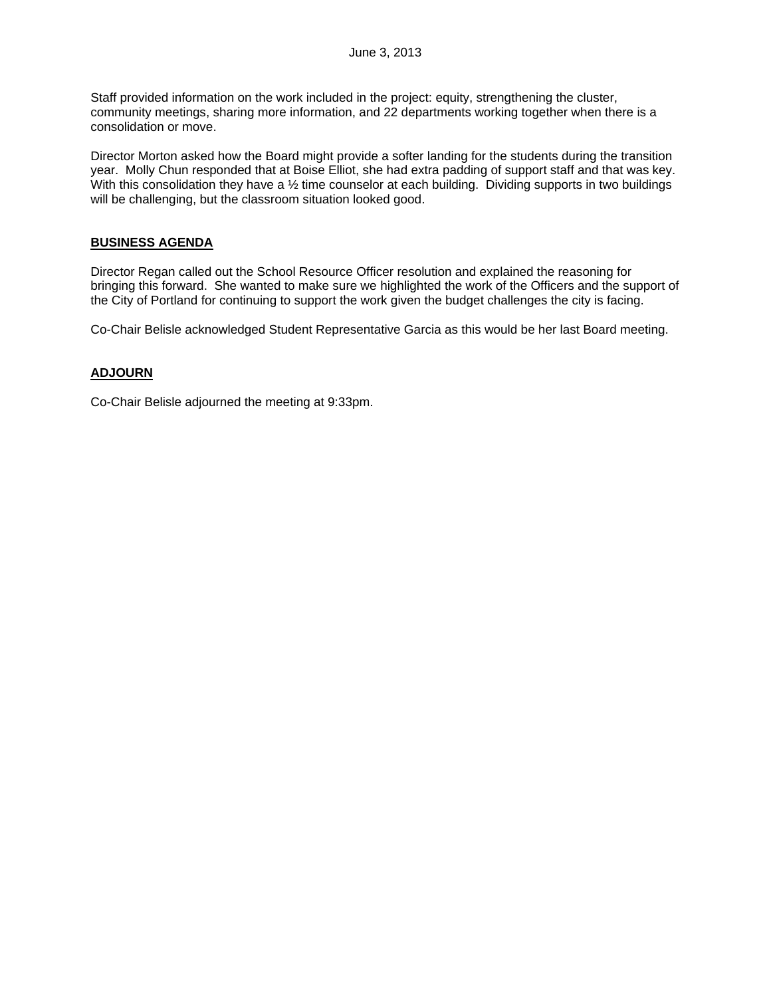Staff provided information on the work included in the project: equity, strengthening the cluster, community meetings, sharing more information, and 22 departments working together when there is a consolidation or move.

Director Morton asked how the Board might provide a softer landing for the students during the transition year. Molly Chun responded that at Boise Elliot, she had extra padding of support staff and that was key. With this consolidation they have a 1/2 time counselor at each building. Dividing supports in two buildings will be challenging, but the classroom situation looked good.

## **BUSINESS AGENDA**

Director Regan called out the School Resource Officer resolution and explained the reasoning for bringing this forward. She wanted to make sure we highlighted the work of the Officers and the support of the City of Portland for continuing to support the work given the budget challenges the city is facing.

Co-Chair Belisle acknowledged Student Representative Garcia as this would be her last Board meeting.

## **ADJOURN**

Co-Chair Belisle adjourned the meeting at 9:33pm.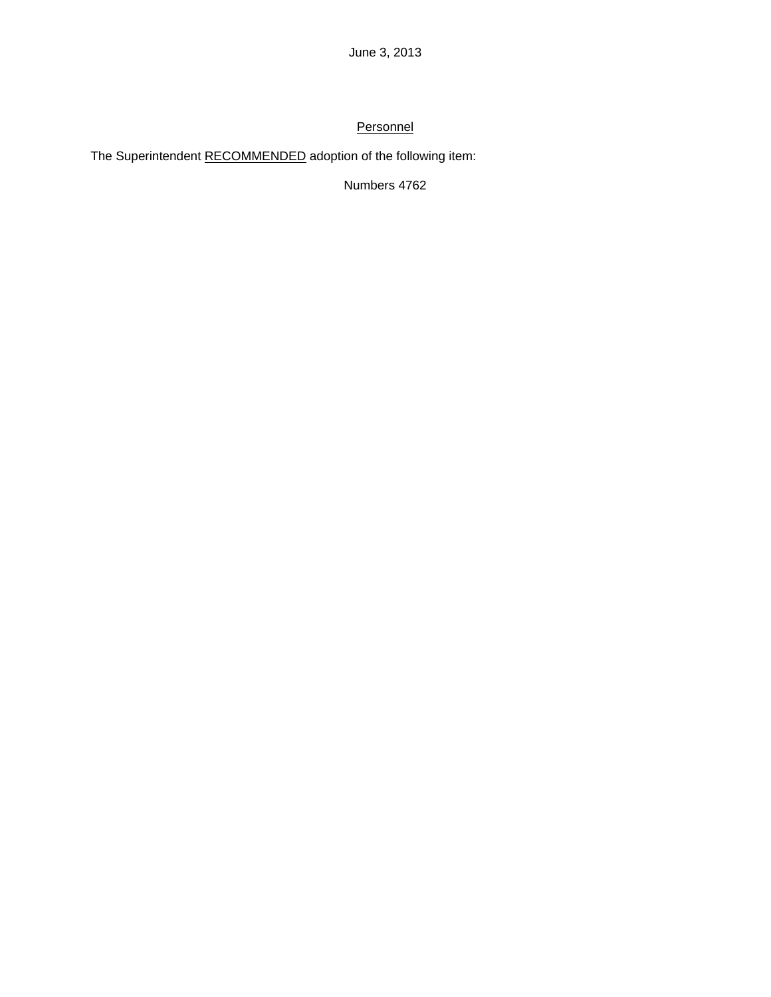# **Personnel**

The Superintendent RECOMMENDED adoption of the following item:

Numbers 4762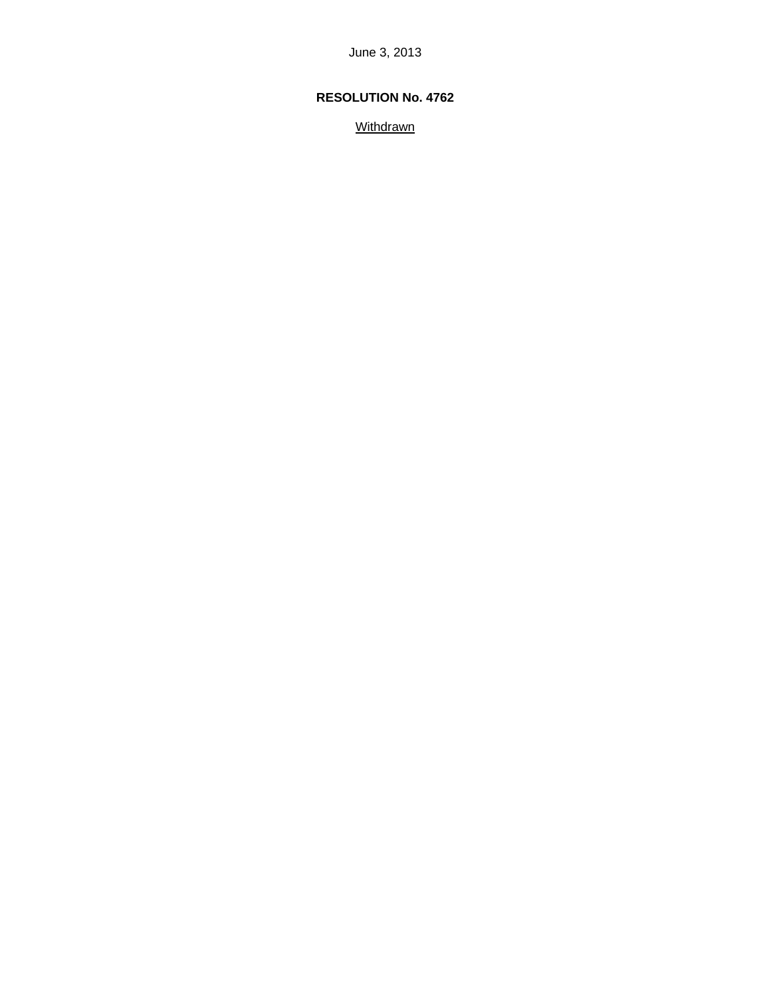## **RESOLUTION No. 4762**

**Withdrawn**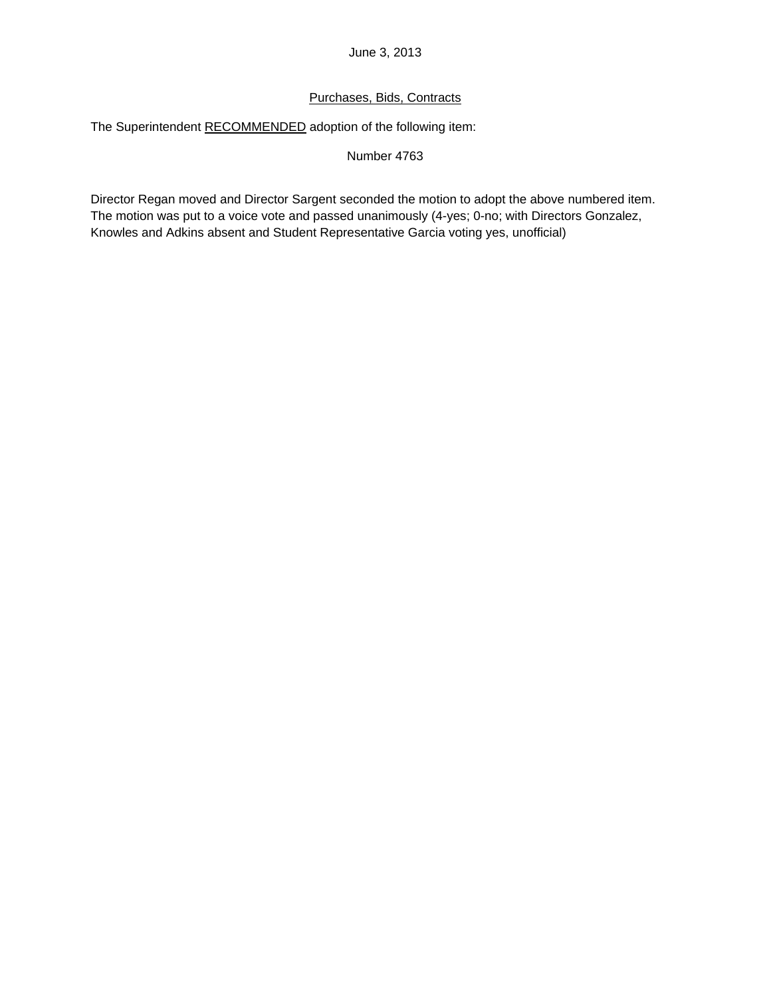## Purchases, Bids, Contracts

The Superintendent RECOMMENDED adoption of the following item:

Number 4763

Director Regan moved and Director Sargent seconded the motion to adopt the above numbered item. The motion was put to a voice vote and passed unanimously (4-yes; 0-no; with Directors Gonzalez, Knowles and Adkins absent and Student Representative Garcia voting yes, unofficial)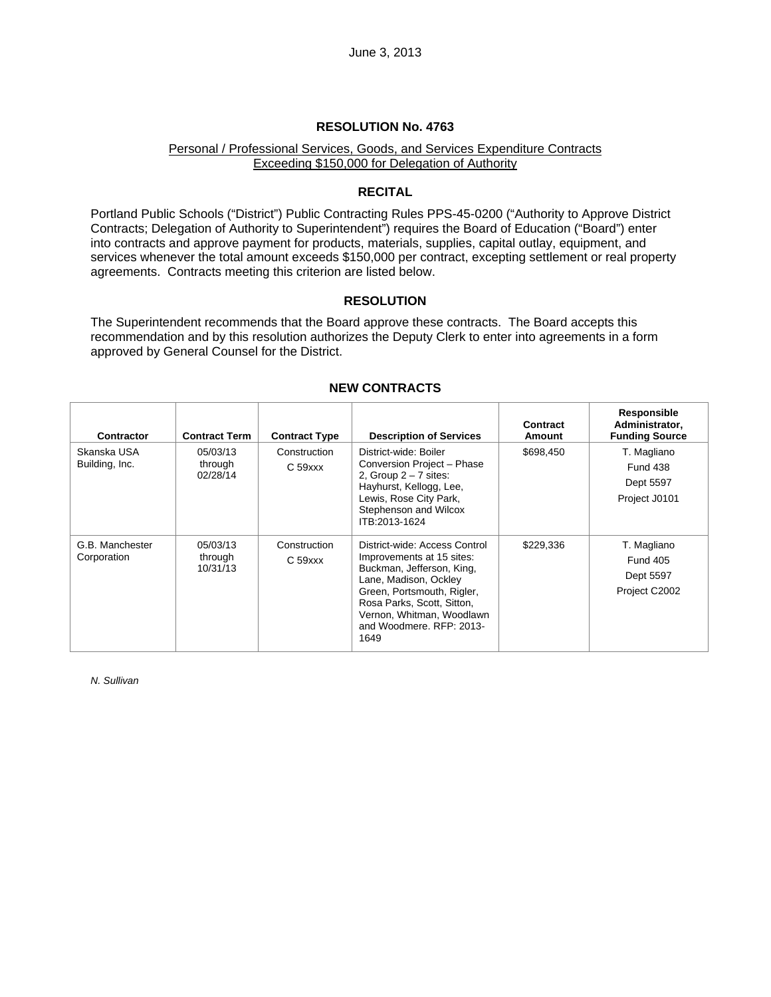#### **RESOLUTION No. 4763**

## Personal / Professional Services, Goods, and Services Expenditure Contracts Exceeding \$150,000 for Delegation of Authority

## **RECITAL**

Portland Public Schools ("District") Public Contracting Rules PPS-45-0200 ("Authority to Approve District Contracts; Delegation of Authority to Superintendent") requires the Board of Education ("Board") enter into contracts and approve payment for products, materials, supplies, capital outlay, equipment, and services whenever the total amount exceeds \$150,000 per contract, excepting settlement or real property agreements. Contracts meeting this criterion are listed below.

## **RESOLUTION**

The Superintendent recommends that the Board approve these contracts. The Board accepts this recommendation and by this resolution authorizes the Deputy Clerk to enter into agreements in a form approved by General Counsel for the District.

| <b>Contractor</b>              | <b>Contract Term</b>            | <b>Contract Type</b>                | <b>Description of Services</b>                                                                                                                                                                                                                | Contract<br>Amount | Responsible<br>Administrator,<br><b>Funding Source</b>       |
|--------------------------------|---------------------------------|-------------------------------------|-----------------------------------------------------------------------------------------------------------------------------------------------------------------------------------------------------------------------------------------------|--------------------|--------------------------------------------------------------|
| Skanska USA<br>Building, Inc.  | 05/03/13<br>through<br>02/28/14 | Construction<br>$C59$ $xxx$         | District-wide: Boiler<br>Conversion Project - Phase<br>2, Group $2 - 7$ sites:<br>Hayhurst, Kellogg, Lee,<br>Lewis, Rose City Park,<br>Stephenson and Wilcox<br>ITB:2013-1624                                                                 | \$698,450          | T. Magliano<br><b>Fund 438</b><br>Dept 5597<br>Project J0101 |
| G.B. Manchester<br>Corporation | 05/03/13<br>through<br>10/31/13 | Construction<br>C <sub>59</sub> xxx | District-wide: Access Control<br>Improvements at 15 sites:<br>Buckman, Jefferson, King,<br>Lane, Madison, Ockley<br>Green, Portsmouth, Rigler,<br>Rosa Parks, Scott, Sitton,<br>Vernon, Whitman, Woodlawn<br>and Woodmere, RFP: 2013-<br>1649 | \$229,336          | T. Magliano<br><b>Fund 405</b><br>Dept 5597<br>Project C2002 |

### **NEW CONTRACTS**

*N. Sullivan*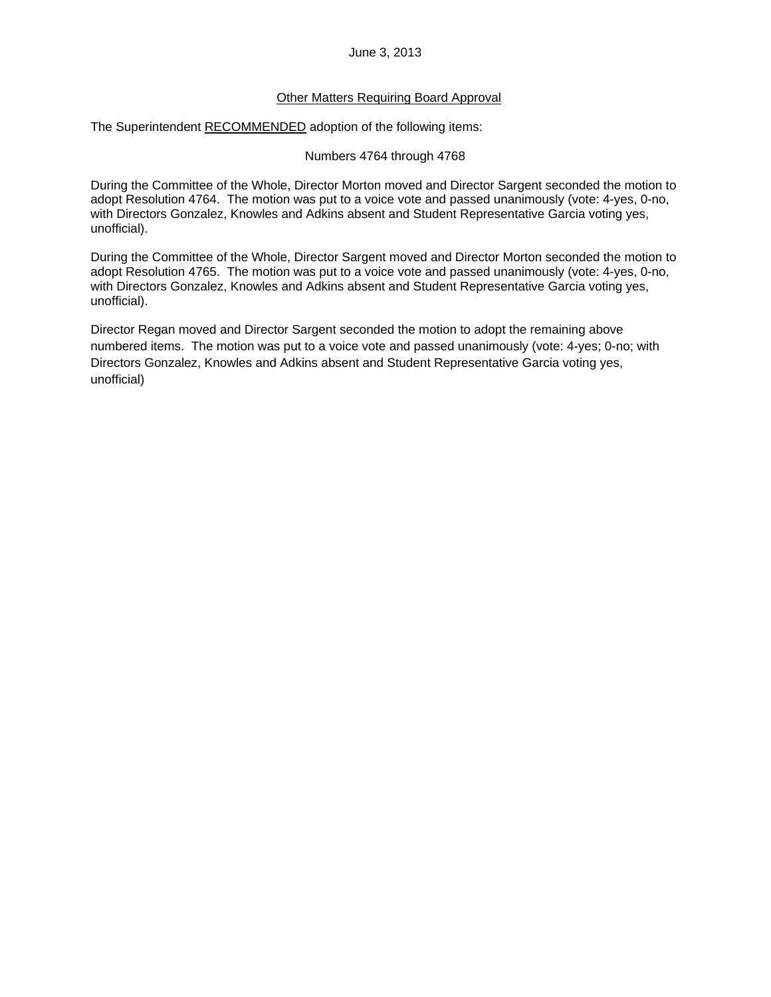## Other Matters Requiring Board Approval

The Superintendent RECOMMENDED adoption of the following items:

Numbers 4764 through 4768

During the Committee of the Whole, Director Morton moved and Director Sargent seconded the motion to adopt Resolution 4764. The motion was put to a voice vote and passed unanimously (vote: 4-yes, 0-no, with Directors Gonzalez, Knowles and Adkins absent and Student Representative Garcia voting yes, unofficial).

During the Committee of the Whole, Director Sargent moved and Director Morton seconded the motion to adopt Resolution 4765. The motion was put to a voice vote and passed unanimously (vote: 4-yes, 0-no, with Directors Gonzalez, Knowles and Adkins absent and Student Representative Garcia voting yes, unofficial).

Director Regan moved and Director Sargent seconded the motion to adopt the remaining above numbered items. The motion was put to a voice vote and passed unanimously (vote: 4-yes; 0-no; with Directors Gonzalez, Knowles and Adkins absent and Student Representative Garcia voting yes, unofficial)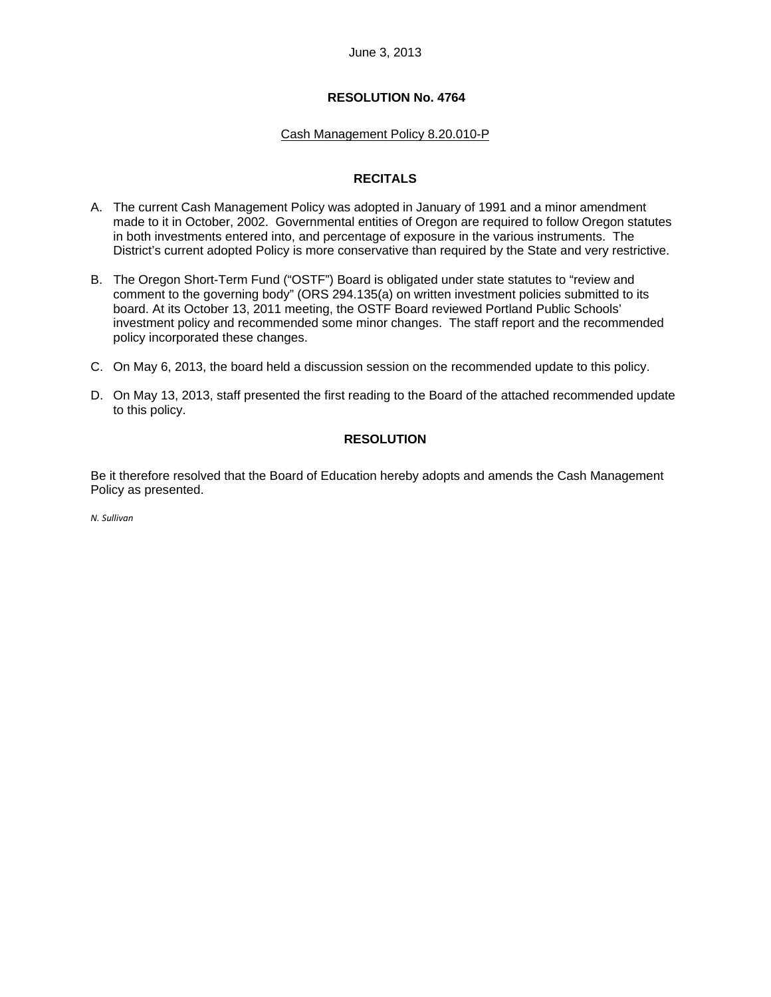## **RESOLUTION No. 4764**

## Cash Management Policy 8.20.010-P

## **RECITALS**

- A. The current Cash Management Policy was adopted in January of 1991 and a minor amendment made to it in October, 2002. Governmental entities of Oregon are required to follow Oregon statutes in both investments entered into, and percentage of exposure in the various instruments. The District's current adopted Policy is more conservative than required by the State and very restrictive.
- B. The Oregon Short-Term Fund ("OSTF") Board is obligated under state statutes to "review and comment to the governing body" (ORS 294.135(a) on written investment policies submitted to its board. At its October 13, 2011 meeting, the OSTF Board reviewed Portland Public Schools' investment policy and recommended some minor changes. The staff report and the recommended policy incorporated these changes.
- C. On May 6, 2013, the board held a discussion session on the recommended update to this policy.
- D. On May 13, 2013, staff presented the first reading to the Board of the attached recommended update to this policy.

## **RESOLUTION**

Be it therefore resolved that the Board of Education hereby adopts and amends the Cash Management Policy as presented.

*N. Sullivan*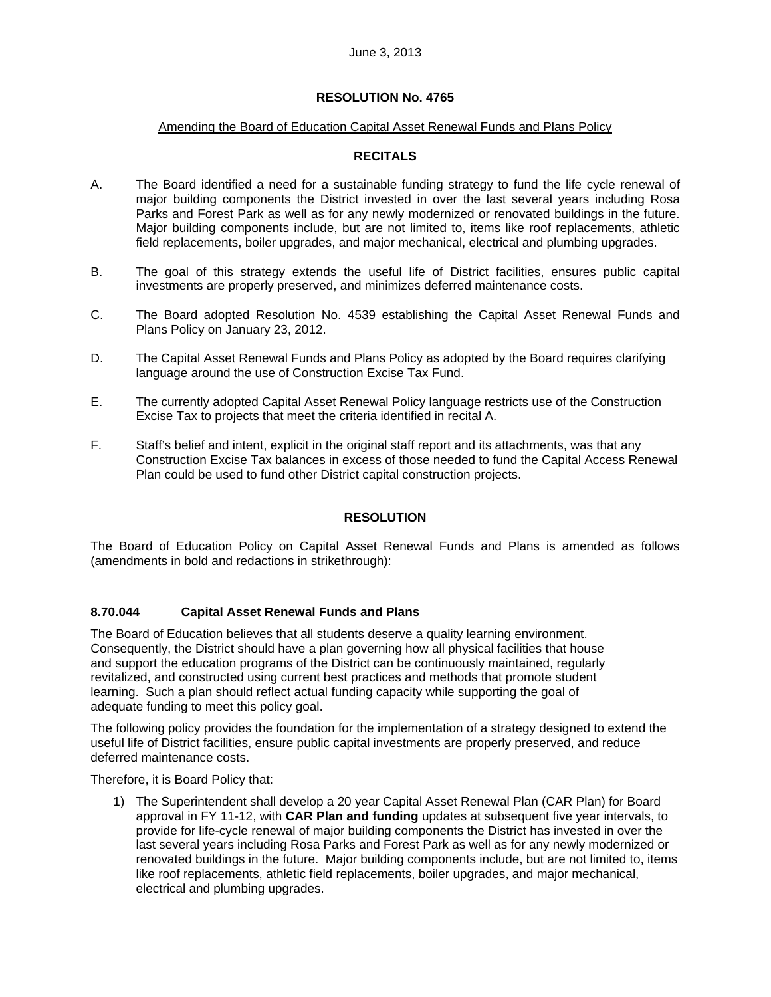## **RESOLUTION No. 4765**

#### Amending the Board of Education Capital Asset Renewal Funds and Plans Policy

## **RECITALS**

- A. The Board identified a need for a sustainable funding strategy to fund the life cycle renewal of major building components the District invested in over the last several years including Rosa Parks and Forest Park as well as for any newly modernized or renovated buildings in the future. Major building components include, but are not limited to, items like roof replacements, athletic field replacements, boiler upgrades, and major mechanical, electrical and plumbing upgrades.
- B. The goal of this strategy extends the useful life of District facilities, ensures public capital investments are properly preserved, and minimizes deferred maintenance costs.
- C. The Board adopted Resolution No. 4539 establishing the Capital Asset Renewal Funds and Plans Policy on January 23, 2012.
- D. The Capital Asset Renewal Funds and Plans Policy as adopted by the Board requires clarifying language around the use of Construction Excise Tax Fund.
- E. The currently adopted Capital Asset Renewal Policy language restricts use of the Construction Excise Tax to projects that meet the criteria identified in recital A.
- F. Staff's belief and intent, explicit in the original staff report and its attachments, was that any Construction Excise Tax balances in excess of those needed to fund the Capital Access Renewal Plan could be used to fund other District capital construction projects.

## **RESOLUTION**

The Board of Education Policy on Capital Asset Renewal Funds and Plans is amended as follows (amendments in bold and redactions in strikethrough):

## **8.70.044 Capital Asset Renewal Funds and Plans**

The Board of Education believes that all students deserve a quality learning environment. Consequently, the District should have a plan governing how all physical facilities that house and support the education programs of the District can be continuously maintained, regularly revitalized, and constructed using current best practices and methods that promote student learning. Such a plan should reflect actual funding capacity while supporting the goal of adequate funding to meet this policy goal.

The following policy provides the foundation for the implementation of a strategy designed to extend the useful life of District facilities, ensure public capital investments are properly preserved, and reduce deferred maintenance costs.

Therefore, it is Board Policy that:

1) The Superintendent shall develop a 20 year Capital Asset Renewal Plan (CAR Plan) for Board approval in FY 11-12, with **CAR Plan and funding** updates at subsequent five year intervals, to provide for life-cycle renewal of major building components the District has invested in over the last several years including Rosa Parks and Forest Park as well as for any newly modernized or renovated buildings in the future. Major building components include, but are not limited to, items like roof replacements, athletic field replacements, boiler upgrades, and major mechanical, electrical and plumbing upgrades.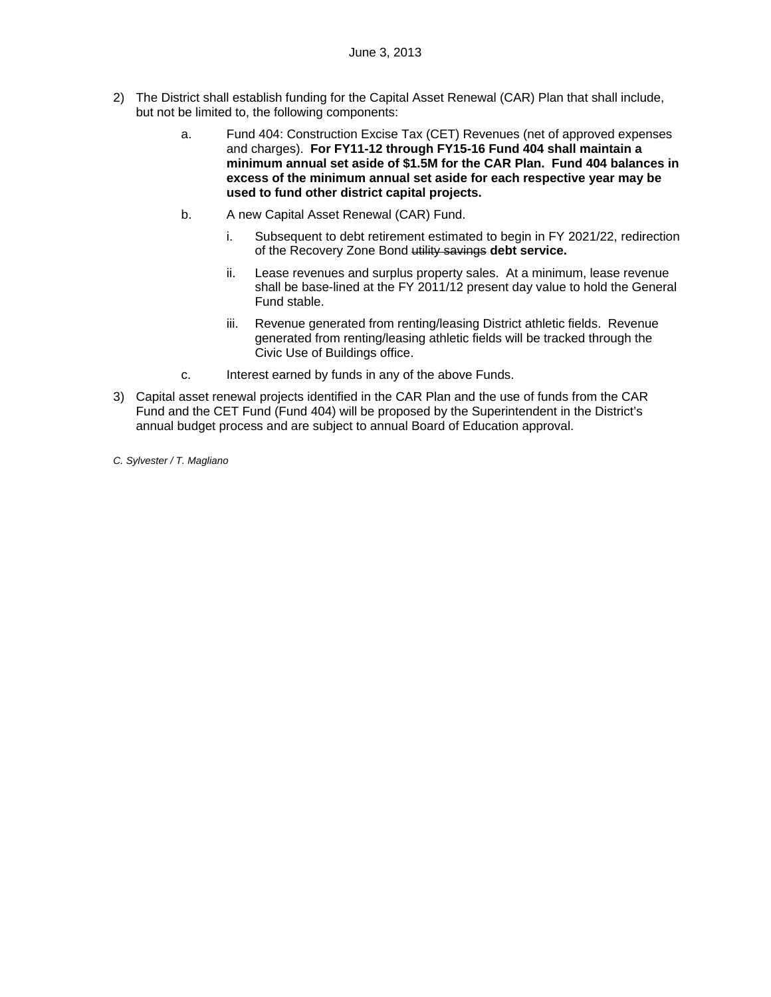- 2) The District shall establish funding for the Capital Asset Renewal (CAR) Plan that shall include, but not be limited to, the following components:
	- a. Fund 404: Construction Excise Tax (CET) Revenues (net of approved expenses and charges). **For FY11-12 through FY15-16 Fund 404 shall maintain a minimum annual set aside of \$1.5M for the CAR Plan. Fund 404 balances in excess of the minimum annual set aside for each respective year may be used to fund other district capital projects.**
	- b. A new Capital Asset Renewal (CAR) Fund.
		- i. Subsequent to debt retirement estimated to begin in FY 2021/22, redirection of the Recovery Zone Bond utility savings **debt service.**
		- ii. Lease revenues and surplus property sales. At a minimum, lease revenue shall be base-lined at the FY 2011/12 present day value to hold the General Fund stable.
		- iii. Revenue generated from renting/leasing District athletic fields. Revenue generated from renting/leasing athletic fields will be tracked through the Civic Use of Buildings office.
	- c. Interest earned by funds in any of the above Funds.
- 3) Capital asset renewal projects identified in the CAR Plan and the use of funds from the CAR Fund and the CET Fund (Fund 404) will be proposed by the Superintendent in the District's annual budget process and are subject to annual Board of Education approval.
- *C. Sylvester / T. Magliano*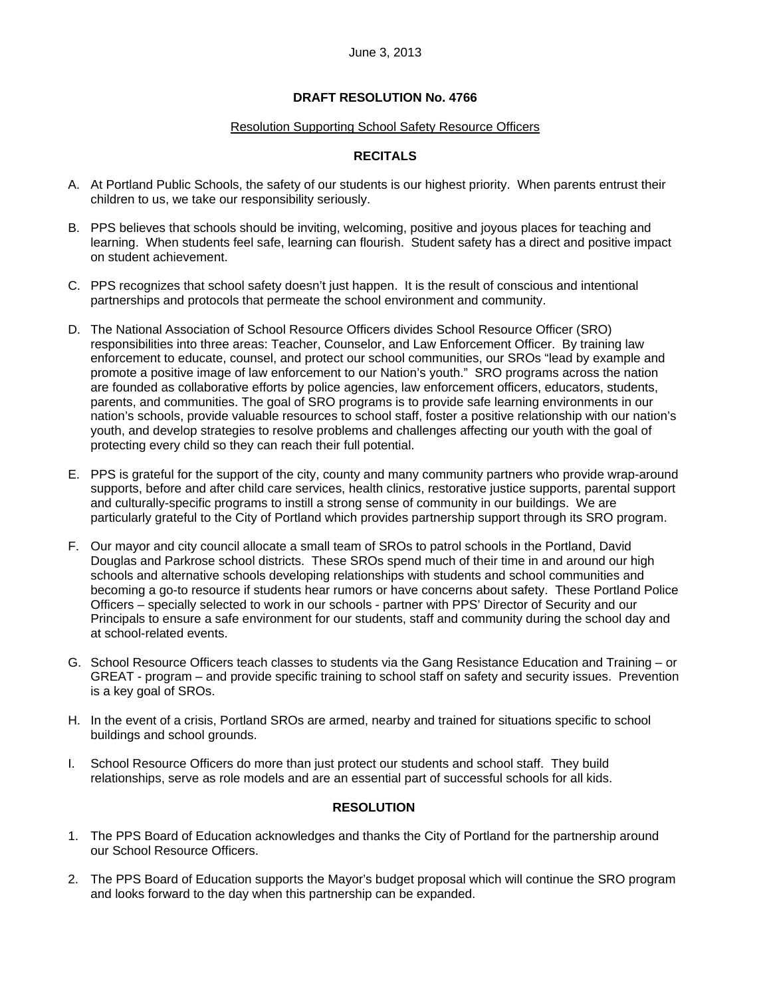## **DRAFT RESOLUTION No. 4766**

#### Resolution Supporting School Safety Resource Officers

## **RECITALS**

- A. At Portland Public Schools, the safety of our students is our highest priority. When parents entrust their children to us, we take our responsibility seriously.
- B. PPS believes that schools should be inviting, welcoming, positive and joyous places for teaching and learning. When students feel safe, learning can flourish. Student safety has a direct and positive impact on student achievement.
- C. PPS recognizes that school safety doesn't just happen. It is the result of conscious and intentional partnerships and protocols that permeate the school environment and community.
- D. The National Association of School Resource Officers divides School Resource Officer (SRO) responsibilities into three areas: Teacher, Counselor, and Law Enforcement Officer. By training law enforcement to educate, counsel, and protect our school communities, our SROs "lead by example and promote a positive image of law enforcement to our Nation's youth." SRO programs across the nation are founded as collaborative efforts by police agencies, law enforcement officers, educators, students, parents, and communities. The goal of SRO programs is to provide safe learning environments in our nation's schools, provide valuable resources to school staff, foster a positive relationship with our nation's youth, and develop strategies to resolve problems and challenges affecting our youth with the goal of protecting every child so they can reach their full potential.
- E. PPS is grateful for the support of the city, county and many community partners who provide wrap-around supports, before and after child care services, health clinics, restorative justice supports, parental support and culturally-specific programs to instill a strong sense of community in our buildings. We are particularly grateful to the City of Portland which provides partnership support through its SRO program.
- F. Our mayor and city council allocate a small team of SROs to patrol schools in the Portland, David Douglas and Parkrose school districts. These SROs spend much of their time in and around our high schools and alternative schools developing relationships with students and school communities and becoming a go-to resource if students hear rumors or have concerns about safety. These Portland Police Officers – specially selected to work in our schools - partner with PPS' Director of Security and our Principals to ensure a safe environment for our students, staff and community during the school day and at school-related events.
- G. School Resource Officers teach classes to students via the Gang Resistance Education and Training or GREAT - program – and provide specific training to school staff on safety and security issues. Prevention is a key goal of SROs.
- H. In the event of a crisis, Portland SROs are armed, nearby and trained for situations specific to school buildings and school grounds.
- I. School Resource Officers do more than just protect our students and school staff. They build relationships, serve as role models and are an essential part of successful schools for all kids.

#### **RESOLUTION**

- 1. The PPS Board of Education acknowledges and thanks the City of Portland for the partnership around our School Resource Officers.
- 2. The PPS Board of Education supports the Mayor's budget proposal which will continue the SRO program and looks forward to the day when this partnership can be expanded.